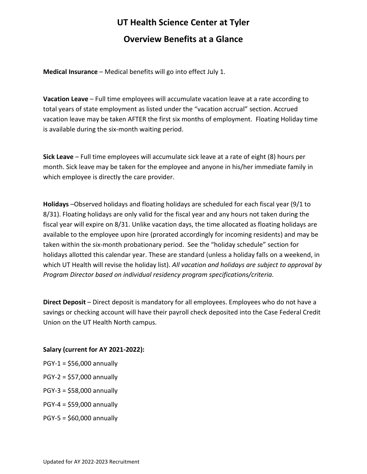# **UT Health Science Center at Tyler Overview Benefits at a Glance**

**Medical Insurance** – Medical benefits will go into effect July 1.

**Vacation Leave** – Full time employees will accumulate vacation leave at a rate according to total years of state employment as listed under the "vacation accrual" section. Accrued vacation leave may be taken AFTER the first six months of employment. Floating Holiday time is available during the six-month waiting period.

**Sick Leave** – Full time employees will accumulate sick leave at a rate of eight (8) hours per month. Sick leave may be taken for the employee and anyone in his/her immediate family in which employee is directly the care provider.

**Holidays** –Observed holidays and floating holidays are scheduled for each fiscal year (9/1 to 8/31). Floating holidays are only valid for the fiscal year and any hours not taken during the fiscal year will expire on 8/31. Unlike vacation days, the time allocated as floating holidays are available to the employee upon hire (prorated accordingly for incoming residents) and may be taken within the six-month probationary period. See the "holiday schedule" section for holidays allotted this calendar year. These are standard (unless a holiday falls on a weekend, in which UT Health will revise the holiday list). *All vacation and holidays are subject to approval by Program Director based on individual residency program specifications/criteria.* 

**Direct Deposit** – Direct deposit is mandatory for all employees. Employees who do not have a savings or checking account will have their payroll check deposited into the Case Federal Credit Union on the UT Health North campus.

### **Salary (current for AY 2021-2022):**

- $PGY-1 = $56,000$  annually
- PGY-2 = \$57,000 annually
- PGY-3 = \$58,000 annually
- PGY-4 = \$59,000 annually
- $PGY-5 = $60,000$  annually